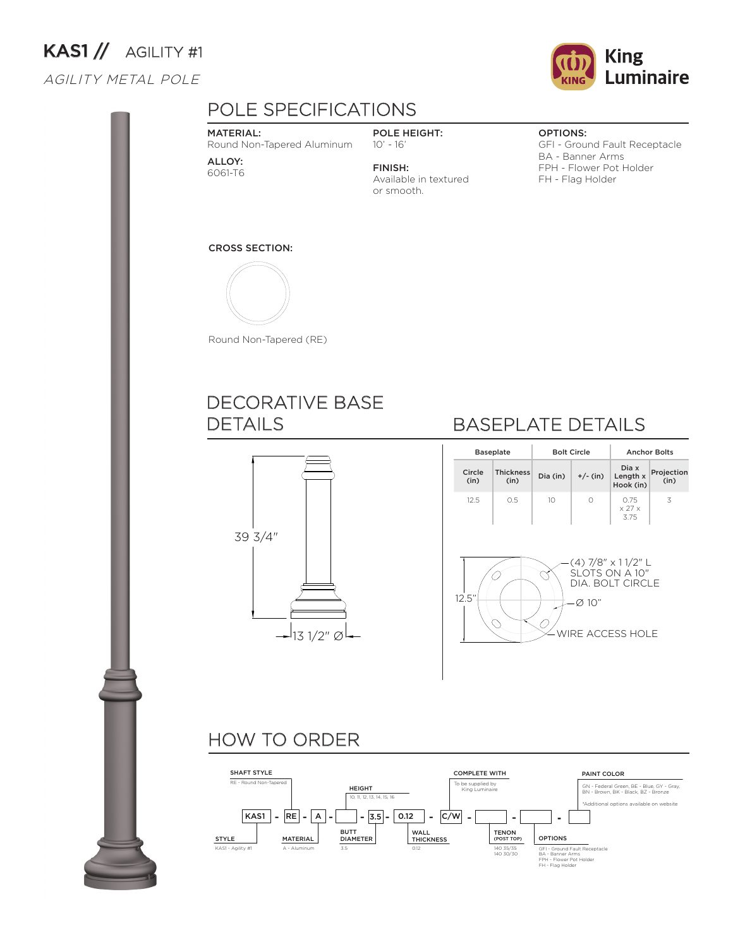# KAS1 // AGILITY #1

### AGILITY METAL POLE



# POLE SPECIFICATIONS

#### MATERIAL:

Round Non-Tapered Aluminum

ALLOY: 6061-T6

POLE HEIGHT: 10' - 16'

FINISH: Available in textured or smooth.

#### OPTIONS:

GFI - Ground Fault Receptacle BA - Banner Arms FPH - Flower Pot Holder FH - Flag Holder

#### CROSS SECTION:



Round Non-Tapered (RE)

### DECORATIVE BASE DETAILS



## BASEPLATE DETAILS

|                                                                                                                            | <b>Baseplate</b>         |    | <b>Bolt Circle</b> | <b>Anchor Bolts</b>                  |                    |  |  |  |
|----------------------------------------------------------------------------------------------------------------------------|--------------------------|----|--------------------|--------------------------------------|--------------------|--|--|--|
| Circle<br>(in)                                                                                                             | <b>Thickness</b><br>(in) |    | $+/-$ (in)         | Dia x<br>Length x<br>Hook (in)       | Projection<br>(in) |  |  |  |
| 12.5                                                                                                                       | 0.5                      | 10 | $\bigcap$          | 0.75<br>$\times$ 27 $\times$<br>3.75 | 3                  |  |  |  |
| $(4)$ 7/8" $\times$ 11/2" L<br>SLOTS ON A 10"<br>DIA. BOLT CIRCLE<br>12.5"<br>$\varnothing$ 10"<br><b>WIRE ACCESS HOLE</b> |                          |    |                    |                                      |                    |  |  |  |

### HOW TO ORDER